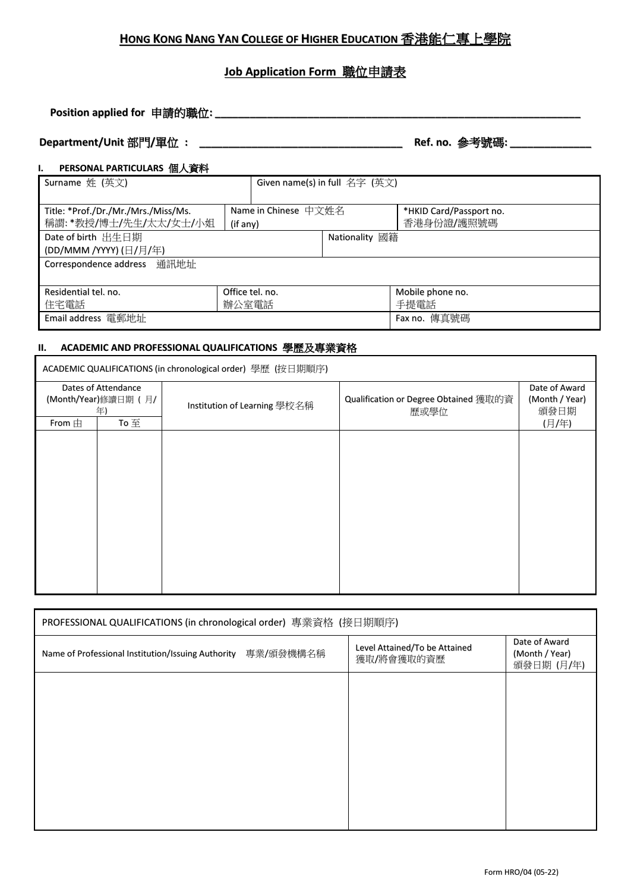## **HONG KONG NANG YAN COLLEGE OF HIGHER EDUCATION** 香港能仁專上學院

## **Job Application Form** 職位申請表

**Position applied for** 申請的職位**: \_\_\_\_\_\_\_\_\_\_\_\_\_\_\_\_\_\_\_\_\_\_\_\_\_\_\_\_\_\_\_\_\_\_\_\_\_\_\_\_\_\_\_\_\_\_\_\_\_\_\_\_\_\_\_\_\_\_\_\_\_\_\_**

# **Department/Unit** 部門**/**單位 **: \_\_\_\_\_\_\_\_\_\_\_\_\_\_\_\_\_\_\_\_\_\_\_\_\_\_\_\_\_\_\_\_\_\_\_ Ref. no.** 參考號碼**: \_\_\_\_\_\_\_\_\_\_\_\_\_\_**

## **I. PERSONAL PARTICULARS** 個人資料

| Surname 姓 (英文)                      |                      | Given name(s) in full 名字 (英文) |                         |
|-------------------------------------|----------------------|-------------------------------|-------------------------|
|                                     |                      |                               |                         |
| Title: *Prof./Dr./Mr./Mrs./Miss/Ms. | Name in Chinese 中文姓名 |                               | *HKID Card/Passport no. |
| 稱謂: *教授/博士/先生/太太/女士/小姐              | (if any)             |                               | 香港身份證/護照號碼              |
| Date of birth 出生日期                  |                      | Nationality 國籍                |                         |
| (DD/MMM /YYYY) (日/月/年)              |                      |                               |                         |
| Correspondence address 通訊地址         |                      |                               |                         |
|                                     |                      |                               |                         |
| Residential tel. no.                | Office tel. no.      |                               | Mobile phone no.        |
| 住宅電話                                | 辦公室電話                |                               | 手提電話                    |
| Email address 電郵地址                  |                      |                               | Fax no. 傳真號碼            |

# **II. ACADEMIC AND PROFESSIONAL QUALIFICATIONS** 學歷及專業資格

| ACADEMIC QUALIFICATIONS (in chronological order) 學歷 (按日期順序) |      |                              |                                                      |                                         |
|-------------------------------------------------------------|------|------------------------------|------------------------------------------------------|-----------------------------------------|
| Dates of Attendance<br>(Month/Year)修讀日期 (月/<br>年)           |      | Institution of Learning 學校名稱 | <b>Qualification or Degree Obtained</b> 獲取的資<br>歷或學位 | Date of Award<br>(Month / Year)<br>頒發日期 |
| From $\pm$                                                  | To 至 |                              |                                                      | (月/年)                                   |
|                                                             |      |                              |                                                      |                                         |
|                                                             |      |                              |                                                      |                                         |
|                                                             |      |                              |                                                      |                                         |
|                                                             |      |                              |                                                      |                                         |
|                                                             |      |                              |                                                      |                                         |
|                                                             |      |                              |                                                      |                                         |
|                                                             |      |                              |                                                      |                                         |
|                                                             |      |                              |                                                      |                                         |
|                                                             |      |                              |                                                      |                                         |
|                                                             |      |                              |                                                      |                                         |

| PROFESSIONAL QUALIFICATIONS (in chronological order) 專業資格 (接日期順序) |                                             |                                               |
|-------------------------------------------------------------------|---------------------------------------------|-----------------------------------------------|
| Name of Professional Institution/Issuing Authority 專業/頒發機構名稱      | Level Attained/To be Attained<br>獲取/將會獲取的資歷 | Date of Award<br>(Month / Year)<br>頒發日期 (月/年) |
|                                                                   |                                             |                                               |
|                                                                   |                                             |                                               |
|                                                                   |                                             |                                               |
|                                                                   |                                             |                                               |
|                                                                   |                                             |                                               |
|                                                                   |                                             |                                               |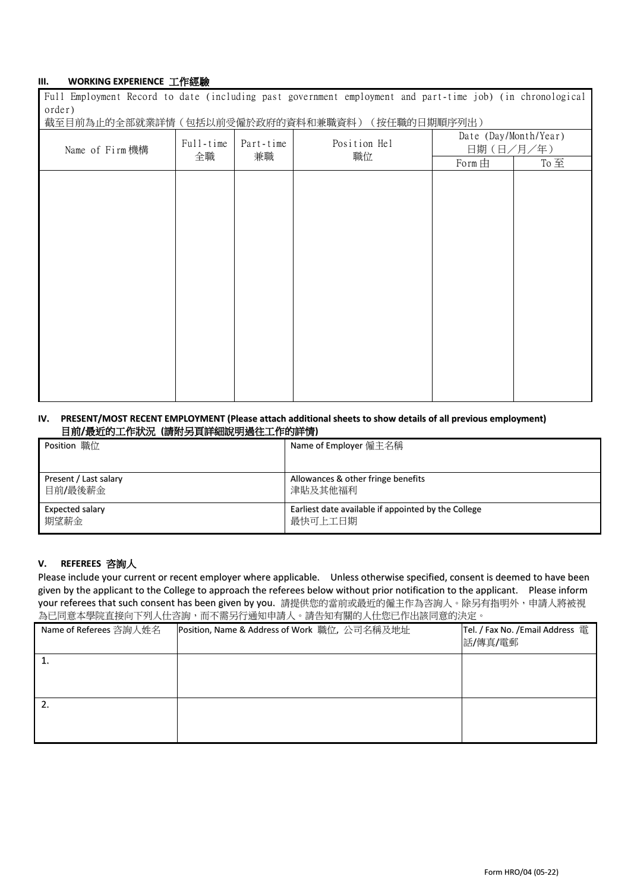### **III. WORKING EXPERIENCE** 工作經驗

Full Employment Record to date (including past government employment and part-time job) (in chronological order)

截至目前為止的全部就業詳情(包括以前受僱於政府的資料和兼職資料)(按任職的日期順序列出)

| PALL II NAMALLE JIL IPANUNET IN III LIILIPPANA KIIRAN PANTA EJIREN ENEN PARA TII LII |                                    |                    |                                    |     |  |
|--------------------------------------------------------------------------------------|------------------------------------|--------------------|------------------------------------|-----|--|
| Name of Firm 機構                                                                      | Full-time<br>Part-time<br>兼職<br>全職 | Position Hel<br>職位 | Date (Day/Month/Year)<br>日期(日/月/年) |     |  |
|                                                                                      |                                    |                    | Form 由                             | To至 |  |
|                                                                                      |                                    |                    |                                    |     |  |
|                                                                                      |                                    |                    |                                    |     |  |
|                                                                                      |                                    |                    |                                    |     |  |
|                                                                                      |                                    |                    |                                    |     |  |
|                                                                                      |                                    |                    |                                    |     |  |
|                                                                                      |                                    |                    |                                    |     |  |
|                                                                                      |                                    |                    |                                    |     |  |
|                                                                                      |                                    |                    |                                    |     |  |
|                                                                                      |                                    |                    |                                    |     |  |
|                                                                                      |                                    |                    |                                    |     |  |
|                                                                                      |                                    |                    |                                    |     |  |
|                                                                                      |                                    |                    |                                    |     |  |
|                                                                                      |                                    |                    |                                    |     |  |
|                                                                                      |                                    |                    |                                    |     |  |
|                                                                                      |                                    |                    |                                    |     |  |
|                                                                                      |                                    |                    |                                    |     |  |
|                                                                                      |                                    |                    |                                    |     |  |

### **IV. PRESENT/MOST RECENT EMPLOYMENT (Please attach additional sheets to show details of all previous employment)** 目前**/**最近的工作狀況 **(**請附另頁詳細說明過往工作的詳情**)**

| Position 職位           | Name of Employer 僱主名稱                               |  |
|-----------------------|-----------------------------------------------------|--|
|                       |                                                     |  |
| Present / Last salary | Allowances & other fringe benefits                  |  |
| 目前/最後薪金               | 津貼及其他福利                                             |  |
| Expected salary       | Earliest date available if appointed by the College |  |
| 期望薪金                  | 最快可上工日期                                             |  |

### **V. REFEREES** 咨詢人

Please include your current or recent employer where applicable. Unless otherwise specified, consent is deemed to have been given by the applicant to the College to approach the referees below without prior notification to the applicant. Please inform your referees that such consent has been given by you. 請提供您的當前或最近的僱主作為咨詢人。除另有指明外,申請人將被視 為已同意本學院直接向下列人仕咨詢,而不需另行通知申請人。請告知有關的人仕您已作出該同意的決定。

| Name of Referees 咨詢人姓名 | Position, Name & Address of Work 職位, 公司名稱及地址 | Tel. / Fax No. / Email Address 電<br>話/傳真/電郵 |
|------------------------|----------------------------------------------|---------------------------------------------|
| ı.                     |                                              |                                             |
| 2.                     |                                              |                                             |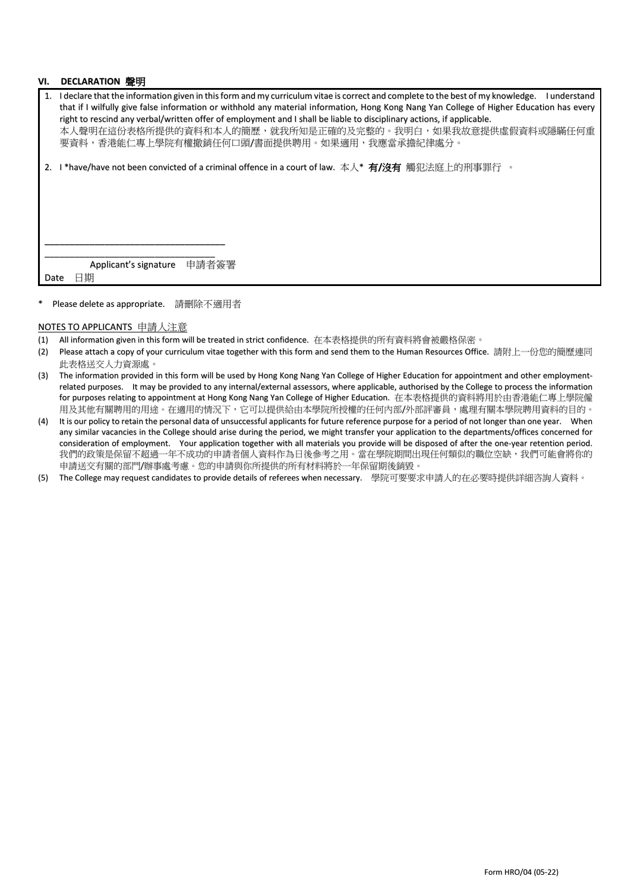#### **VI. DECLARATION** 聲明

| 1. I declare that the information given in this form and my curriculum vitae is correct and complete to the best of my knowledge. I understand<br>that if I wilfully give false information or withhold any material information, Hong Kong Nang Yan College of Higher Education has every<br>right to rescind any verbal/written offer of employment and I shall be liable to disciplinary actions, if applicable.<br>本人聲明在這份表格所提供的資料和本人的簡歷,就我所知是正確的及完整的。我明白,如果我故意提供虛假資料或隱瞞任何重<br>要資料,香港能仁專上學院有權撤銷任何口頭/書面提供聘用。如果適用,我應當承擔紀律處分。 |
|--------------------------------------------------------------------------------------------------------------------------------------------------------------------------------------------------------------------------------------------------------------------------------------------------------------------------------------------------------------------------------------------------------------------------------------------------------------------------------------------------------------------------------|
| 2. I *have/have not been convicted of a criminal offence in a court of law. 本人* 有/沒有 觸犯法庭上的刑事罪行 。                                                                                                                                                                                                                                                                                                                                                                                                                              |
|                                                                                                                                                                                                                                                                                                                                                                                                                                                                                                                                |
|                                                                                                                                                                                                                                                                                                                                                                                                                                                                                                                                |
|                                                                                                                                                                                                                                                                                                                                                                                                                                                                                                                                |
|                                                                                                                                                                                                                                                                                                                                                                                                                                                                                                                                |
|                                                                                                                                                                                                                                                                                                                                                                                                                                                                                                                                |
|                                                                                                                                                                                                                                                                                                                                                                                                                                                                                                                                |
| Applicant's signature 申請者簽署                                                                                                                                                                                                                                                                                                                                                                                                                                                                                                    |
| 日期<br>Date                                                                                                                                                                                                                                                                                                                                                                                                                                                                                                                     |
|                                                                                                                                                                                                                                                                                                                                                                                                                                                                                                                                |

#### Please delete as appropriate. 請刪除不適用者

#### NOTES TO APPLICANTS 申請人注意

- (1) All information given in this form will be treated in strict confidence. 在本表格提供的所有資料將會被嚴格保密。
- (2) Please attach a copy of your curriculum vitae together with this form and send them to the Human Resources Office. 請附上一份您的簡歷連同 此表格送交人力資源處。
- (3) The information provided in this form will be used by Hong Kong Nang Yan College of Higher Education for appointment and other employmentrelated purposes. It may be provided to any internal/external assessors, where applicable, authorised by the College to process the information for purposes relating to appointment at Hong Kong Nang Yan College of Higher Education. 在本表格提供的資料將用於由香港能仁專上學院僱 用及其他有關聘用的用途。在適用的情況下,它可以提供給由本學院所授權的任何內部/外部評審員,處理有關本學院聘用資料的目的。
- (4) It is our policy to retain the personal data of unsuccessful applicants for future reference purpose for a period of not longer than one year. When any similar vacancies in the College should arise during the period, we might transfer your application to the departments/offices concerned for consideration of employment. Your application together with all materials you provide will be disposed of after the one-year retention period. 我們的政策是保留不超過一年不成功的申請者個人資料作為日後參考之用。當在學院期間出現任何類似的職位空缺,我們可能會將你的 申請送交有關的部門/辦事處考慮。您的申請與你所提供的所有材料將於一年保留期後銷毀。
- (5) The College may request candidates to provide details of referees when necessary. 學院可要要求申請人的在必要時提供詳細咨詢人資料。